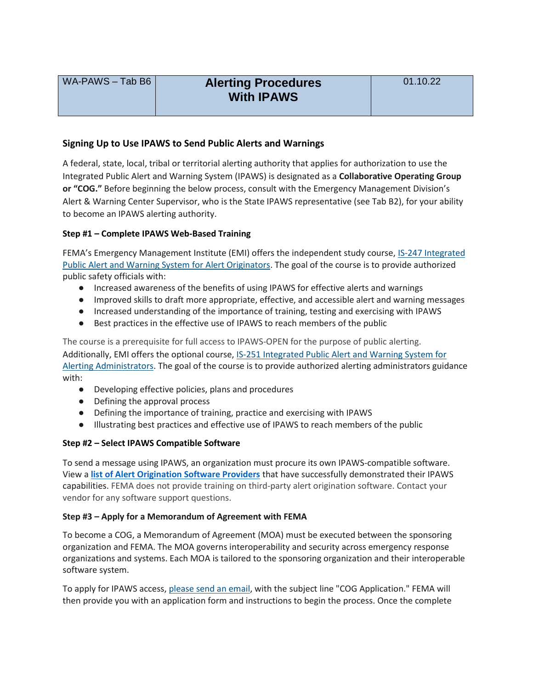# WA-PAWS – Tab B6 **Alerting Procedures With IPAWS**

# **Signing Up to Use IPAWS to Send Public Alerts and Warnings**

A federal, state, local, tribal or territorial alerting authority that applies for authorization to use the Integrated Public Alert and Warning System (IPAWS) is designated as a **Collaborative Operating Group or "COG."** Before beginning the below process, consult with the Emergency Management Division's Alert & Warning Center Supervisor, who is the State IPAWS representative (see Tab B2), for your ability to become an IPAWS alerting authority.

#### **Step #1 – Complete IPAWS Web-Based Training**

FEMA's Emergency Management Institute (EMI) offers the independent study course, IS-247 Integrated [Public Alert and Warning System for Alert Originators.](https://training.fema.gov/is/courseoverview.aspx?code=IS-247.b) The goal of the course is to provide authorized public safety officials with:

- Increased awareness of the benefits of using IPAWS for effective alerts and warnings
- Improved skills to draft more appropriate, effective, and accessible alert and warning messages
- Increased understanding of the importance of training, testing and exercising with IPAWS
- Best practices in the effective use of IPAWS to reach members of the public

The course is a prerequisite for full access to IPAWS-OPEN for the purpose of public alerting. Additionally, EMI offers the optional course, [IS-251 Integrated Public Alert and Warning System for](http://training.fema.gov/is/courseoverview.aspx?code=IS-251.a)  [Alerting Administrators.](http://training.fema.gov/is/courseoverview.aspx?code=IS-251.a) The goal of the course is to provide authorized alerting administrators guidance with:

- Developing effective policies, plans and procedures
- Defining the approval process
- Defining the importance of training, practice and exercising with IPAWS
- Illustrating best practices and effective use of IPAWS to reach members of the public

#### **Step #2 – Select IPAWS Compatible Software**

To send a message using IPAWS, an organization must procure its own IPAWS-compatible software. View a **list of [Alert Origination Software Providers](https://www.fema.gov/sites/default/files/documents/fema_list-alert-origination-software-providers-IPAWS-capabilities_102021.pdf)** that have successfully demonstrated their IPAWS capabilities. FEMA does not provide training on third-party alert origination software. Contact your vendor for any software support questions.

#### **Step #3 – Apply for a Memorandum of Agreement with FEMA**

To become a COG, a Memorandum of Agreement (MOA) must be executed between the sponsoring organization and FEMA. The MOA governs interoperability and security across emergency response organizations and systems. Each MOA is tailored to the sponsoring organization and their interoperable software system.

To apply for IPAWS access, [please send an email,](mailto:IPAWS@fema.dhs.gov) with the subject line "COG Application." FEMA will then provide you with an application form and instructions to begin the process. Once the complete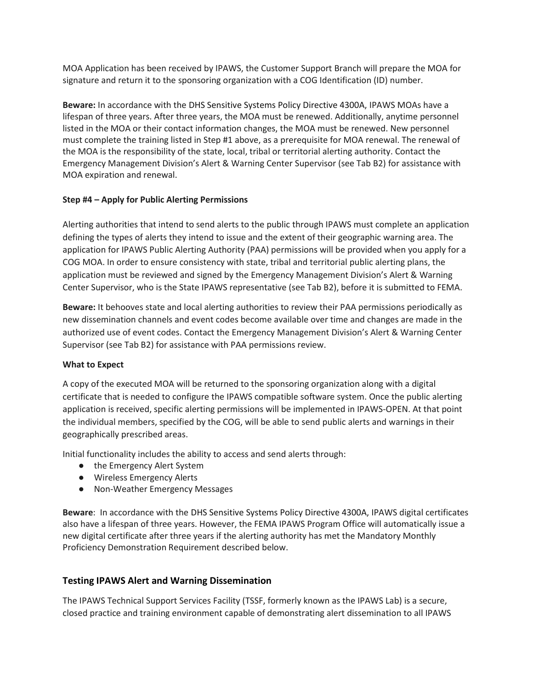MOA Application has been received by IPAWS, the Customer Support Branch will prepare the MOA for signature and return it to the sponsoring organization with a COG Identification (ID) number.

**Beware:** In accordance with the DHS Sensitive Systems Policy Directive 4300A, IPAWS MOAs have a lifespan of three years. After three years, the MOA must be renewed. Additionally, anytime personnel listed in the MOA or their contact information changes, the MOA must be renewed. New personnel must complete the training listed in Step #1 above, as a prerequisite for MOA renewal. The renewal of the MOA is the responsibility of the state, local, tribal or territorial alerting authority. Contact the Emergency Management Division's Alert & Warning Center Supervisor (see Tab B2) for assistance with MOA expiration and renewal.

#### **Step #4 – Apply for Public Alerting Permissions**

Alerting authorities that intend to send alerts to the public through IPAWS must complete an application defining the types of alerts they intend to issue and the extent of their geographic warning area. The application for IPAWS Public Alerting Authority (PAA) permissions will be provided when you apply for a COG MOA. In order to ensure consistency with state, tribal and territorial public alerting plans, the application must be reviewed and signed by the Emergency Management Division's Alert & Warning Center Supervisor, who is the State IPAWS representative (see Tab B2), before it is submitted to FEMA.

**Beware:** It behooves state and local alerting authorities to review their PAA permissions periodically as new dissemination channels and event codes become available over time and changes are made in the authorized use of event codes. Contact the Emergency Management Division's Alert & Warning Center Supervisor (see Tab B2) for assistance with PAA permissions review.

#### **What to Expect**

A copy of the executed MOA will be returned to the sponsoring organization along with a digital certificate that is needed to configure the IPAWS compatible software system. Once the public alerting application is received, specific alerting permissions will be implemented in IPAWS-OPEN. At that point the individual members, specified by the COG, will be able to send public alerts and warnings in their geographically prescribed areas.

Initial functionality includes the ability to access and send alerts through:

- the Emergency Alert System
- Wireless Emergency Alerts
- Non-Weather Emergency Messages

**Beware**: In accordance with the DHS Sensitive Systems Policy Directive 4300A, IPAWS digital certificates also have a lifespan of three years. However, the FEMA IPAWS Program Office will automatically issue a new digital certificate after three years if the alerting authority has met the Mandatory Monthly Proficiency Demonstration Requirement described below.

### **Testing IPAWS Alert and Warning Dissemination**

The IPAWS Technical Support Services Facility (TSSF, formerly known as the IPAWS Lab) is a secure, closed practice and training environment capable of demonstrating alert dissemination to all IPAWS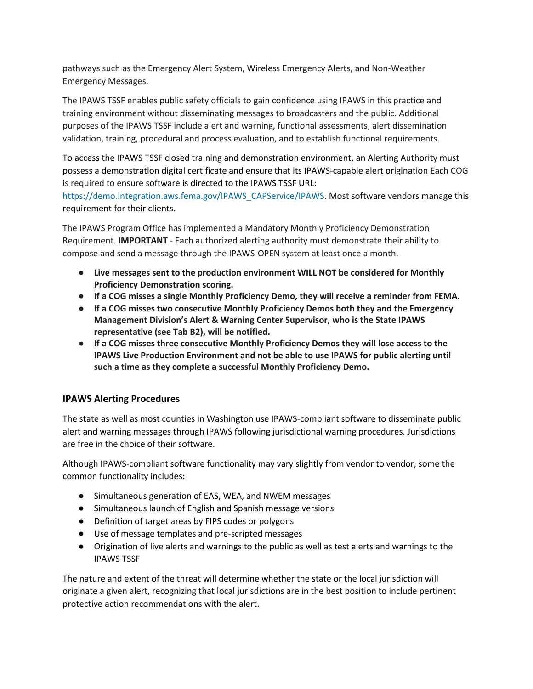pathways such as the Emergency Alert System, Wireless Emergency Alerts, and Non-Weather Emergency Messages.

The IPAWS TSSF enables public safety officials to gain confidence using IPAWS in this practice and training environment without disseminating messages to broadcasters and the public. Additional purposes of the IPAWS TSSF include alert and warning, functional assessments, alert dissemination validation, training, procedural and process evaluation, and to establish functional requirements.

To access the IPAWS TSSF closed training and demonstration environment, an Alerting Authority must possess a demonstration digital certificate and ensure that its IPAWS-capable alert origination Each COG is required to ensure software is directed to the IPAWS TSSF URL:

https://demo.integration.aws.fema.gov/IPAWS\_CAPService/IPAWS. Most software vendors manage this requirement for their clients.

The IPAWS Program Office has implemented a Mandatory Monthly Proficiency Demonstration Requirement. **IMPORTANT** - Each authorized alerting authority must demonstrate their ability to compose and send a message through the IPAWS-OPEN system at least once a month.

- **Live messages sent to the production environment WILL NOT be considered for Monthly Proficiency Demonstration scoring.**
- **If a COG misses a single Monthly Proficiency Demo, they will receive a reminder from FEMA.**
- **If a COG misses two consecutive Monthly Proficiency Demos both they and the Emergency Management Division's Alert & Warning Center Supervisor, who is the State IPAWS representative (see Tab B2), will be notified.**
- **If a COG misses three consecutive Monthly Proficiency Demos they will lose access to the IPAWS Live Production Environment and not be able to use IPAWS for public alerting until such a time as they complete a successful Monthly Proficiency Demo.**

# **IPAWS Alerting Procedures**

The state as well as most counties in Washington use IPAWS-compliant software to disseminate public alert and warning messages through IPAWS following jurisdictional warning procedures. Jurisdictions are free in the choice of their software.

Although IPAWS-compliant software functionality may vary slightly from vendor to vendor, some the common functionality includes:

- Simultaneous generation of EAS, WEA, and NWEM messages
- Simultaneous launch of English and Spanish message versions
- Definition of target areas by FIPS codes or polygons
- Use of message templates and pre-scripted messages
- Origination of live alerts and warnings to the public as well as test alerts and warnings to the IPAWS TSSF

The nature and extent of the threat will determine whether the state or the local jurisdiction will originate a given alert, recognizing that local jurisdictions are in the best position to include pertinent protective action recommendations with the alert.